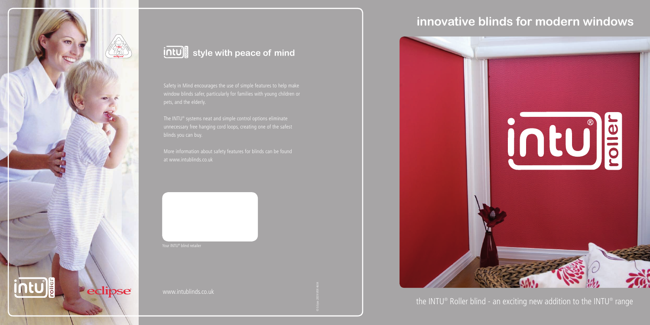

## **intula** style with peace of mind

© Eclipse 2009 MSR 4604

## **innovative blinds for modern windows**



the INTU® Roller blind - an exciting new addition to the INTU® range

Safety in Mind encourages the use of simple features to help make

www.intublinds.co.uk